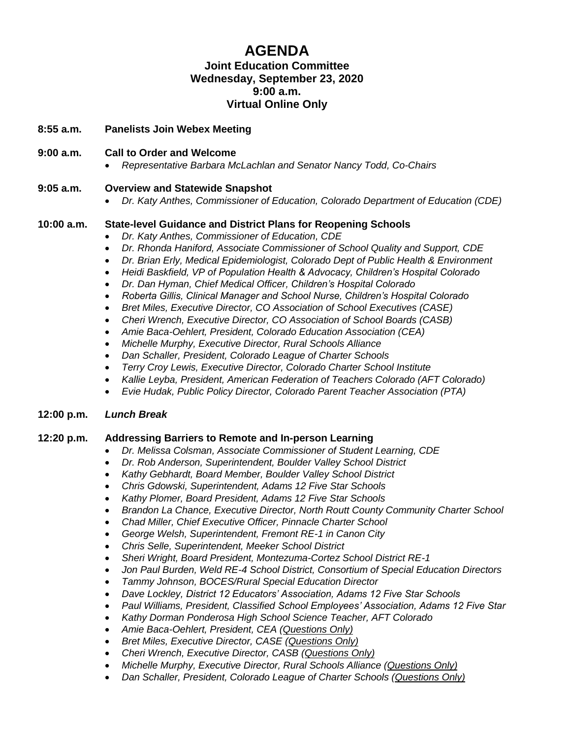# **AGENDA Joint Education Committee Wednesday, September 23, 2020 9:00 a.m. Virtual Online Only**

**8:55 a.m. Panelists Join Webex Meeting**

### **9:00 a.m. Call to Order and Welcome**

*Representative Barbara McLachlan and Senator Nancy Todd, Co-Chairs*

## **9:05 a.m. Overview and Statewide Snapshot**

*Dr. Katy Anthes, Commissioner of Education, Colorado Department of Education (CDE)*

### **10:00 a.m. State-level Guidance and District Plans for Reopening Schools**

- *Dr. Katy Anthes, Commissioner of Education, CDE*
- *Dr. Rhonda Haniford, Associate Commissioner of School Quality and Support, CDE*
- *Dr. Brian Erly, Medical Epidemiologist, Colorado Dept of Public Health & Environment*
- *Heidi Baskfield, VP of Population Health & Advocacy, Children's Hospital Colorado*
- *Dr. Dan Hyman, Chief Medical Officer, Children's Hospital Colorado*
- *Roberta Gillis, Clinical Manager and School Nurse, Children's Hospital Colorado*
- *Bret Miles, Executive Director, CO Association of School Executives (CASE)*
- *Cheri Wrench, Executive Director, CO Association of School Boards (CASB)*
- *Amie Baca-Oehlert, President, Colorado Education Association (CEA)*
- *Michelle Murphy, Executive Director, Rural Schools Alliance*
- *Dan Schaller, President, Colorado League of Charter Schools*
- *Terry Croy Lewis, Executive Director, Colorado Charter School Institute*
- *Kallie Leyba, President, American Federation of Teachers Colorado (AFT Colorado)*
- *Evie Hudak, Public Policy Director, Colorado Parent Teacher Association (PTA)*

#### **12:00 p.m.** *Lunch Break*

## **12:20 p.m. Addressing Barriers to Remote and In-person Learning**

- *Dr. Melissa Colsman, Associate Commissioner of Student Learning, CDE*
- *Dr. Rob Anderson, Superintendent, Boulder Valley School District*
- *Kathy Gebhardt, Board Member, Boulder Valley School District*
- *Chris Gdowski, Superintendent, Adams 12 Five Star Schools*
- *Kathy Plomer, Board President, Adams 12 Five Star Schools*
- *Brandon La Chance, Executive Director, North Routt County Community Charter School*
- *Chad Miller, Chief Executive Officer, Pinnacle Charter School*
- *George Welsh, Superintendent, Fremont RE-1 in Canon City*
- *Chris Selle, Superintendent, Meeker School District*
- *Sheri Wright, Board President, Montezuma-Cortez School District RE-1*
- *Jon Paul Burden, Weld RE-4 School District, Consortium of Special Education Directors*
- *Tammy Johnson, BOCES/Rural Special Education Director*
- *Dave Lockley, District 12 Educators' Association, Adams 12 Five Star Schools*
- *Paul Williams, President, Classified School Employees' Association, Adams 12 Five Star*
- *Kathy Dorman Ponderosa High School Science Teacher, AFT Colorado*
- *Amie Baca-Oehlert, President, CEA (Questions Only)*
- *Bret Miles, Executive Director, CASE (Questions Only)*
- *Cheri Wrench, Executive Director, CASB (Questions Only)*
- *Michelle Murphy, Executive Director, Rural Schools Alliance (Questions Only)*
- *Dan Schaller, President, Colorado League of Charter Schools (Questions Only)*